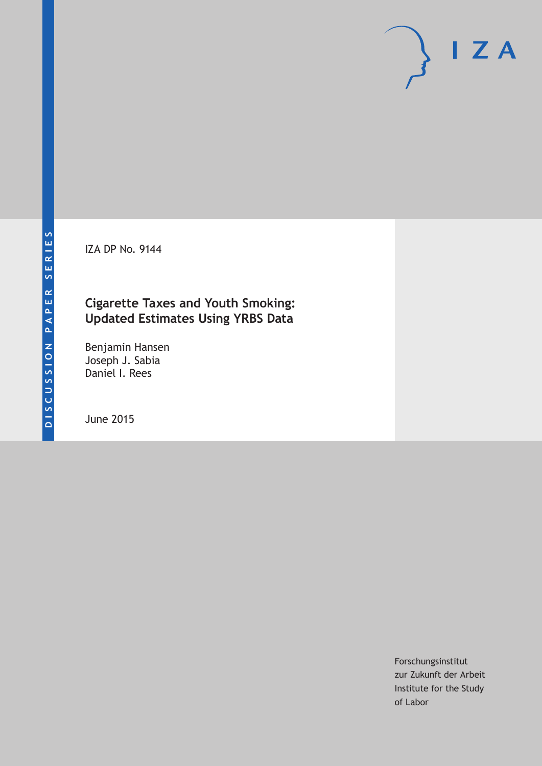IZA DP No. 9144

# **Cigarette Taxes and Youth Smoking: Updated Estimates Using YRBS Data**

Benjamin Hansen Joseph J. Sabia Daniel I. Rees

June 2015

Forschungsinstitut zur Zukunft der Arbeit Institute for the Study of Labor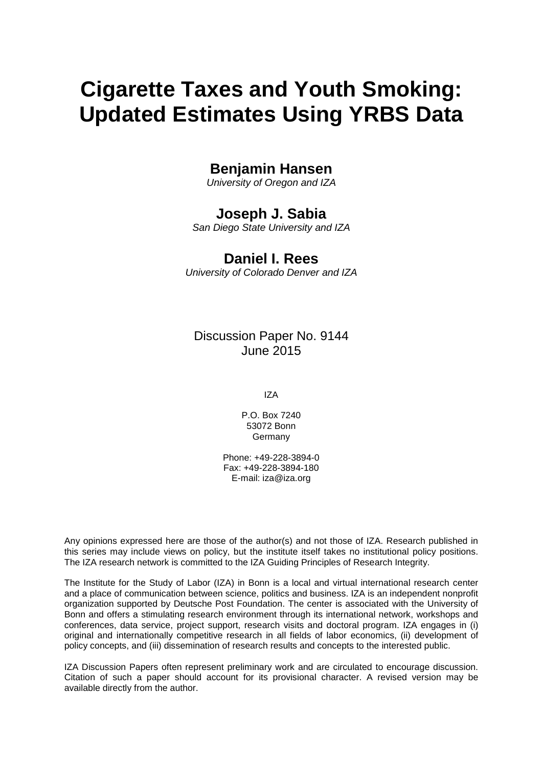# **Cigarette Taxes and Youth Smoking: Updated Estimates Using YRBS Data**

# **Benjamin Hansen**

*University of Oregon and IZA*

# **Joseph J. Sabia**

*San Diego State University and IZA*

# **Daniel I. Rees**

*University of Colorado Denver and IZA*

# Discussion Paper No. 9144 June 2015

IZA

P.O. Box 7240 53072 Bonn Germany

Phone: +49-228-3894-0 Fax: +49-228-3894-180 E-mail: iza@iza.org

Any opinions expressed here are those of the author(s) and not those of IZA. Research published in this series may include views on policy, but the institute itself takes no institutional policy positions. The IZA research network is committed to the IZA Guiding Principles of Research Integrity.

The Institute for the Study of Labor (IZA) in Bonn is a local and virtual international research center and a place of communication between science, politics and business. IZA is an independent nonprofit organization supported by Deutsche Post Foundation. The center is associated with the University of Bonn and offers a stimulating research environment through its international network, workshops and conferences, data service, project support, research visits and doctoral program. IZA engages in (i) original and internationally competitive research in all fields of labor economics, (ii) development of policy concepts, and (iii) dissemination of research results and concepts to the interested public.

IZA Discussion Papers often represent preliminary work and are circulated to encourage discussion. Citation of such a paper should account for its provisional character. A revised version may be available directly from the author.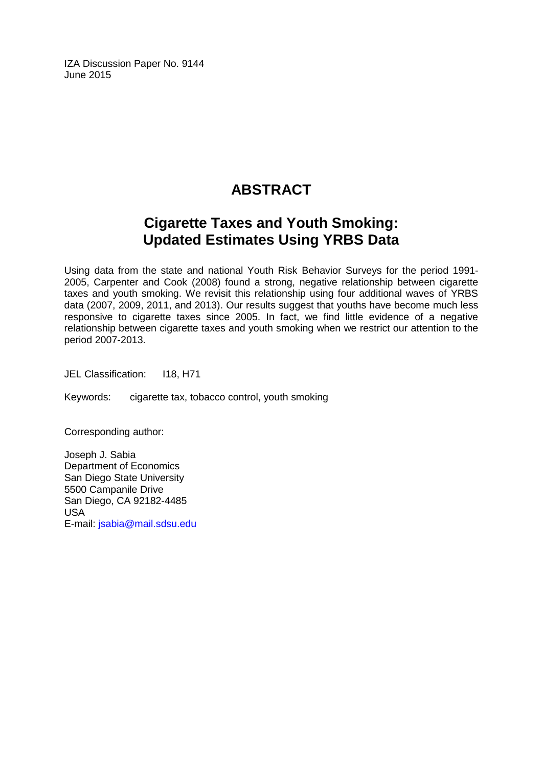IZA Discussion Paper No. 9144 June 2015

# **ABSTRACT**

# **Cigarette Taxes and Youth Smoking: Updated Estimates Using YRBS Data**

Using data from the state and national Youth Risk Behavior Surveys for the period 1991- 2005, Carpenter and Cook (2008) found a strong, negative relationship between cigarette taxes and youth smoking. We revisit this relationship using four additional waves of YRBS data (2007, 2009, 2011, and 2013). Our results suggest that youths have become much less responsive to cigarette taxes since 2005. In fact, we find little evidence of a negative relationship between cigarette taxes and youth smoking when we restrict our attention to the period 2007-2013.

JEL Classification: I18, H71

Keywords: cigarette tax, tobacco control, youth smoking

Corresponding author:

Joseph J. Sabia Department of Economics San Diego State University 5500 Campanile Drive San Diego, CA 92182-4485 USA E-mail: [jsabia@mail.sdsu.edu](mailto:jsabia@mail.sdsu.edu)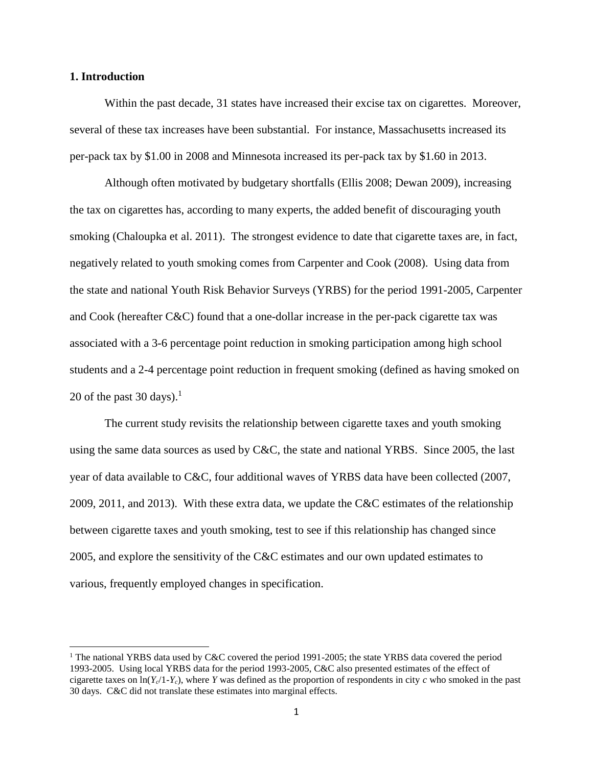#### **1. Introduction**

 $\overline{\phantom{a}}$ 

Within the past decade, 31 states have increased their excise tax on cigarettes. Moreover, several of these tax increases have been substantial. For instance, Massachusetts increased its per-pack tax by \$1.00 in 2008 and Minnesota increased its per-pack tax by \$1.60 in 2013.

Although often motivated by budgetary shortfalls (Ellis 2008; Dewan 2009), increasing the tax on cigarettes has, according to many experts, the added benefit of discouraging youth smoking (Chaloupka et al. 2011). The strongest evidence to date that cigarette taxes are, in fact, negatively related to youth smoking comes from Carpenter and Cook (2008). Using data from the state and national Youth Risk Behavior Surveys (YRBS) for the period 1991-2005, Carpenter and Cook (hereafter C&C) found that a one-dollar increase in the per-pack cigarette tax was associated with a 3-6 percentage point reduction in smoking participation among high school students and a 2-4 percentage point reduction in frequent smoking (defined as having smoked on 20 of the past 30 days). $<sup>1</sup>$ </sup>

The current study revisits the relationship between cigarette taxes and youth smoking using the same data sources as used by C&C, the state and national YRBS. Since 2005, the last year of data available to C&C, four additional waves of YRBS data have been collected (2007, 2009, 2011, and 2013). With these extra data, we update the C&C estimates of the relationship between cigarette taxes and youth smoking, test to see if this relationship has changed since 2005, and explore the sensitivity of the C&C estimates and our own updated estimates to various, frequently employed changes in specification.

<sup>&</sup>lt;sup>1</sup> The national YRBS data used by C&C covered the period 1991-2005; the state YRBS data covered the period 1993-2005. Using local YRBS data for the period 1993-2005, C&C also presented estimates of the effect of cigarette taxes on  $\ln(Y_c/1-Y_c)$ , where *Y* was defined as the proportion of respondents in city *c* who smoked in the past 30 days. C&C did not translate these estimates into marginal effects.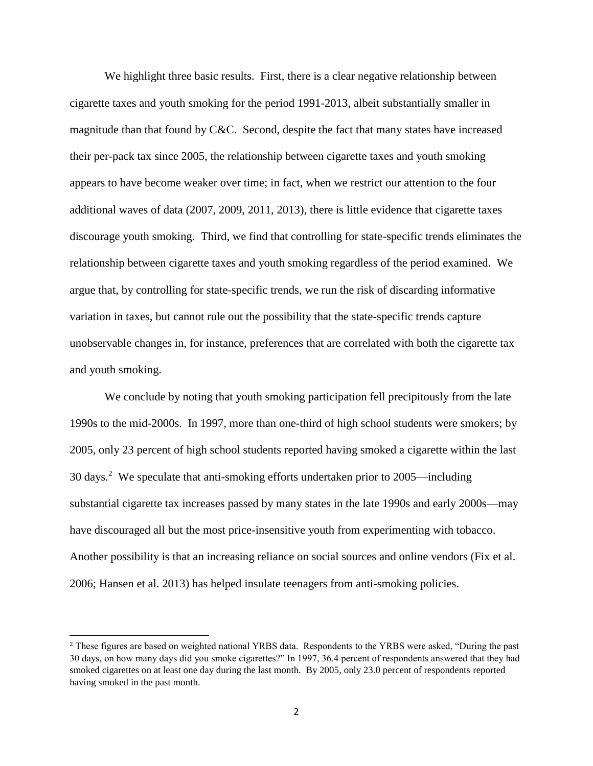We highlight three basic results. First, there is a clear negative relationship between cigarette taxes and youth smoking for the period 1991-2013, albeit substantially smaller in magnitude than that found by C&C. Second, despite the fact that many states have increased their per-pack tax since 2005, the relationship between cigarette taxes and youth smoking appears to have become weaker over time; in fact, when we restrict our attention to the four additional waves of data (2007, 2009, 2011, 2013), there is little evidence that cigarette taxes discourage youth smoking. Third, we find that controlling for state-specific trends eliminates the relationship between cigarette taxes and youth smoking regardless of the period examined. We argue that, by controlling for state-specific trends, we run the risk of discarding informative variation in taxes, but cannot rule out the possibility that the state-specific trends capture unobservable changes in, for instance, preferences that are correlated with both the cigarette tax and youth smoking.

We conclude by noting that youth smoking participation fell precipitously from the late 1990s to the mid-2000s. In 1997, more than one-third of high school students were smokers; by 2005, only 23 percent of high school students reported having smoked a cigarette within the last 30 days. 2 We speculate that anti-smoking efforts undertaken prior to 2005—including substantial cigarette tax increases passed by many states in the late 1990s and early 2000s—may have discouraged all but the most price-insensitive youth from experimenting with tobacco. Another possibility is that an increasing reliance on social sources and online vendors (Fix et al. 2006; Hansen et al. 2013) has helped insulate teenagers from anti-smoking policies.

 $\overline{\phantom{a}}$ 

<sup>&</sup>lt;sup>2</sup> These figures are based on weighted national YRBS data. Respondents to the YRBS were asked, "During the past 30 days, on how many days did you smoke cigarettes?" In 1997, 36.4 percent of respondents answered that they had smoked cigarettes on at least one day during the last month. By 2005, only 23.0 percent of respondents reported having smoked in the past month.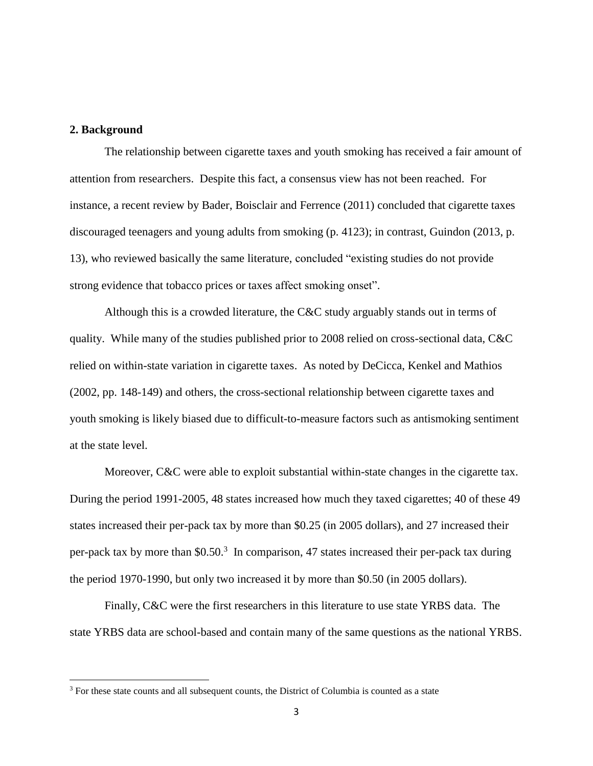#### **2. Background**

 $\overline{\phantom{a}}$ 

The relationship between cigarette taxes and youth smoking has received a fair amount of attention from researchers. Despite this fact, a consensus view has not been reached. For instance, a recent review by Bader, Boisclair and Ferrence (2011) concluded that cigarette taxes discouraged teenagers and young adults from smoking (p. 4123); in contrast, Guindon (2013, p. 13), who reviewed basically the same literature, concluded "existing studies do not provide strong evidence that tobacco prices or taxes affect smoking onset".

Although this is a crowded literature, the C&C study arguably stands out in terms of quality. While many of the studies published prior to 2008 relied on cross-sectional data, C&C relied on within-state variation in cigarette taxes. As noted by DeCicca, Kenkel and Mathios (2002, pp. 148-149) and others, the cross-sectional relationship between cigarette taxes and youth smoking is likely biased due to difficult-to-measure factors such as antismoking sentiment at the state level.

Moreover, C&C were able to exploit substantial within-state changes in the cigarette tax. During the period 1991-2005, 48 states increased how much they taxed cigarettes; 40 of these 49 states increased their per-pack tax by more than \$0.25 (in 2005 dollars), and 27 increased their per-pack tax by more than \$0.50.<sup>3</sup> In comparison, 47 states increased their per-pack tax during the period 1970-1990, but only two increased it by more than \$0.50 (in 2005 dollars).

Finally, C&C were the first researchers in this literature to use state YRBS data. The state YRBS data are school-based and contain many of the same questions as the national YRBS.

<sup>&</sup>lt;sup>3</sup> For these state counts and all subsequent counts, the District of Columbia is counted as a state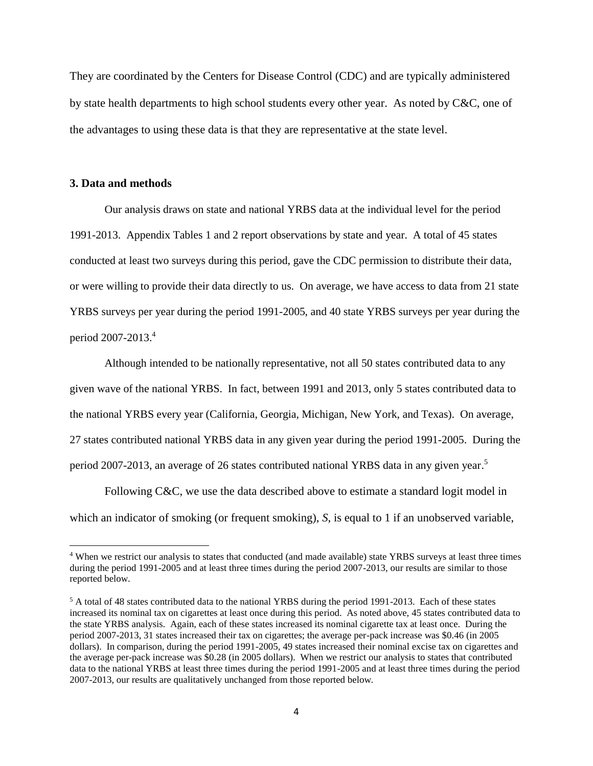They are coordinated by the Centers for Disease Control (CDC) and are typically administered by state health departments to high school students every other year. As noted by C&C, one of the advantages to using these data is that they are representative at the state level.

#### **3. Data and methods**

 $\overline{\phantom{a}}$ 

Our analysis draws on state and national YRBS data at the individual level for the period 1991-2013. Appendix Tables 1 and 2 report observations by state and year. A total of 45 states conducted at least two surveys during this period, gave the CDC permission to distribute their data, or were willing to provide their data directly to us. On average, we have access to data from 21 state YRBS surveys per year during the period 1991-2005, and 40 state YRBS surveys per year during the period 2007-2013. 4

Although intended to be nationally representative, not all 50 states contributed data to any given wave of the national YRBS. In fact, between 1991 and 2013, only 5 states contributed data to the national YRBS every year (California, Georgia, Michigan, New York, and Texas). On average, 27 states contributed national YRBS data in any given year during the period 1991-2005. During the period 2007-2013, an average of 26 states contributed national YRBS data in any given year.<sup>5</sup>

Following C&C, we use the data described above to estimate a standard logit model in which an indicator of smoking (or frequent smoking), *S*, is equal to 1 if an unobserved variable,

<sup>&</sup>lt;sup>4</sup> When we restrict our analysis to states that conducted (and made available) state YRBS surveys at least three times during the period 1991-2005 and at least three times during the period 2007-2013, our results are similar to those reported below.

<sup>5</sup> A total of 48 states contributed data to the national YRBS during the period 1991-2013. Each of these states increased its nominal tax on cigarettes at least once during this period. As noted above, 45 states contributed data to the state YRBS analysis. Again, each of these states increased its nominal cigarette tax at least once. During the period 2007-2013, 31 states increased their tax on cigarettes; the average per-pack increase was \$0.46 (in 2005 dollars). In comparison, during the period 1991-2005, 49 states increased their nominal excise tax on cigarettes and the average per-pack increase was \$0.28 (in 2005 dollars). When we restrict our analysis to states that contributed data to the national YRBS at least three times during the period 1991-2005 and at least three times during the period 2007-2013, our results are qualitatively unchanged from those reported below.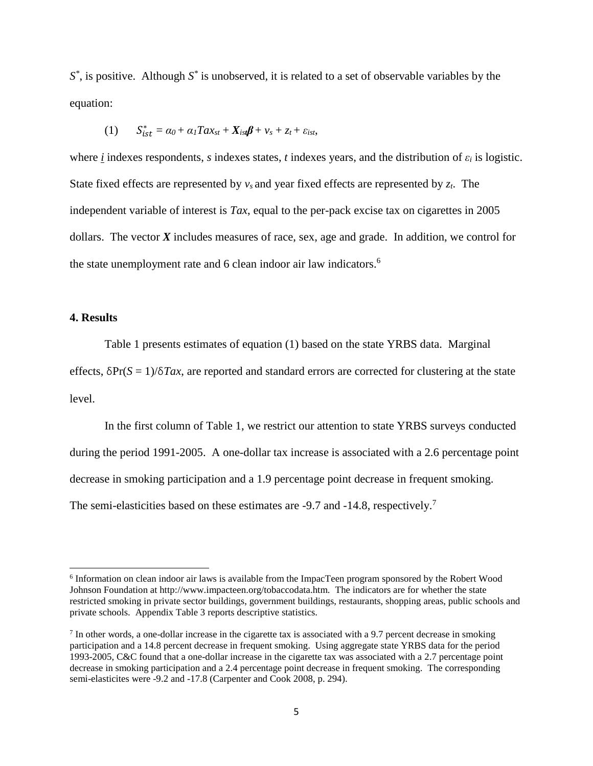*S \** , is positive. Although *S \** is unobserved, it is related to a set of observable variables by the equation:

(1) 
$$
S_{ist}^* = \alpha_0 + \alpha_1 T a x_{st} + X_{ist} \beta + v_s + z_t + \varepsilon_{ist},
$$

where *i* indexes respondents, *s* indexes states, *t* indexes years, and the distribution of *ε<sup>i</sup>* is logistic. State fixed effects are represented by  $v_s$  and year fixed effects are represented by  $z_t$ . The independent variable of interest is *Tax*, equal to the per-pack excise tax on cigarettes in 2005 dollars. The vector *X* includes measures of race, sex, age and grade. In addition, we control for the state unemployment rate and 6 clean indoor air law indicators.<sup>6</sup>

#### **4. Results**

 $\overline{a}$ 

Table 1 presents estimates of equation (1) based on the state YRBS data. Marginal effects, δPr(*S* = 1)/δ*Tax*, are reported and standard errors are corrected for clustering at the state level.

In the first column of Table 1, we restrict our attention to state YRBS surveys conducted during the period 1991-2005. A one-dollar tax increase is associated with a 2.6 percentage point decrease in smoking participation and a 1.9 percentage point decrease in frequent smoking. The semi-elasticities based on these estimates are -9.7 and -14.8, respectively.<sup>7</sup>

<sup>&</sup>lt;sup>6</sup> Information on clean indoor air laws is available from the ImpacTeen program sponsored by the Robert Wood Johnson Foundation at http://www.impacteen.org/tobaccodata.htm. The indicators are for whether the state restricted smoking in private sector buildings, government buildings, restaurants, shopping areas, public schools and private schools. Appendix Table 3 reports descriptive statistics.

<sup>&</sup>lt;sup>7</sup> In other words, a one-dollar increase in the cigarette tax is associated with a 9.7 percent decrease in smoking participation and a 14.8 percent decrease in frequent smoking. Using aggregate state YRBS data for the period 1993-2005, C&C found that a one-dollar increase in the cigarette tax was associated with a 2.7 percentage point decrease in smoking participation and a 2.4 percentage point decrease in frequent smoking. The corresponding semi-elasticites were -9.2 and -17.8 (Carpenter and Cook 2008, p. 294).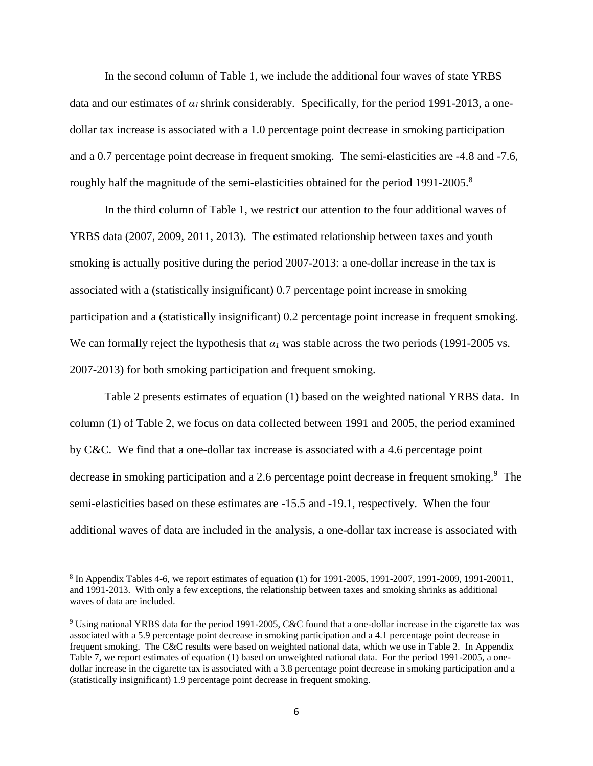In the second column of Table 1, we include the additional four waves of state YRBS data and our estimates of  $\alpha_l$  shrink considerably. Specifically, for the period 1991-2013, a onedollar tax increase is associated with a 1.0 percentage point decrease in smoking participation and a 0.7 percentage point decrease in frequent smoking. The semi-elasticities are -4.8 and -7.6, roughly half the magnitude of the semi-elasticities obtained for the period 1991-2005.<sup>8</sup>

In the third column of Table 1, we restrict our attention to the four additional waves of YRBS data (2007, 2009, 2011, 2013). The estimated relationship between taxes and youth smoking is actually positive during the period 2007-2013: a one-dollar increase in the tax is associated with a (statistically insignificant) 0.7 percentage point increase in smoking participation and a (statistically insignificant) 0.2 percentage point increase in frequent smoking. We can formally reject the hypothesis that  $a<sub>1</sub>$  was stable across the two periods (1991-2005 vs. 2007-2013) for both smoking participation and frequent smoking.

Table 2 presents estimates of equation (1) based on the weighted national YRBS data. In column (1) of Table 2, we focus on data collected between 1991 and 2005, the period examined by C&C. We find that a one-dollar tax increase is associated with a 4.6 percentage point decrease in smoking participation and a 2.6 percentage point decrease in frequent smoking.<sup>9</sup> The semi-elasticities based on these estimates are -15.5 and -19.1, respectively. When the four additional waves of data are included in the analysis, a one-dollar tax increase is associated with

 $\overline{a}$ 

<sup>&</sup>lt;sup>8</sup> In Appendix Tables 4-6, we report estimates of equation (1) for 1991-2005, 1991-2007, 1991-2009, 1991-20011, and 1991-2013. With only a few exceptions, the relationship between taxes and smoking shrinks as additional waves of data are included.

<sup>9</sup> Using national YRBS data for the period 1991-2005, C&C found that a one-dollar increase in the cigarette tax was associated with a 5.9 percentage point decrease in smoking participation and a 4.1 percentage point decrease in frequent smoking. The C&C results were based on weighted national data, which we use in Table 2. In Appendix Table 7, we report estimates of equation (1) based on unweighted national data. For the period 1991-2005, a onedollar increase in the cigarette tax is associated with a 3.8 percentage point decrease in smoking participation and a (statistically insignificant) 1.9 percentage point decrease in frequent smoking.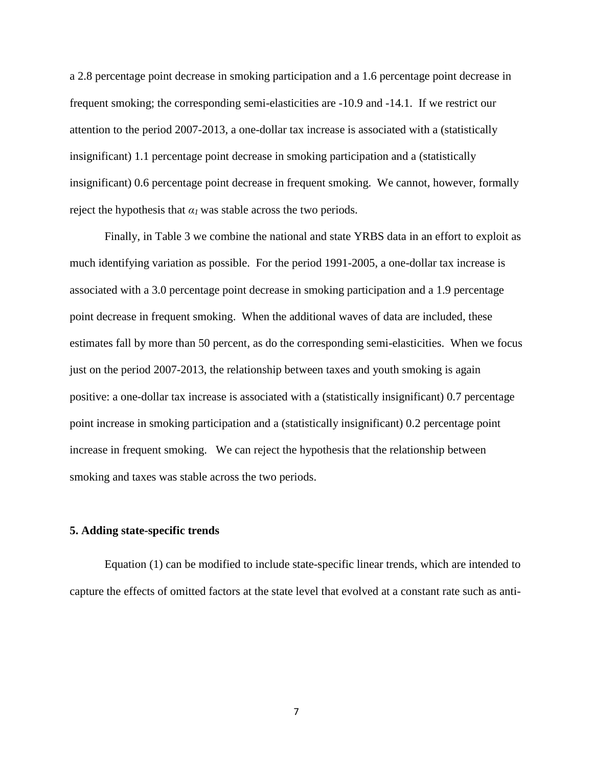a 2.8 percentage point decrease in smoking participation and a 1.6 percentage point decrease in frequent smoking; the corresponding semi-elasticities are -10.9 and -14.1. If we restrict our attention to the period 2007-2013, a one-dollar tax increase is associated with a (statistically insignificant) 1.1 percentage point decrease in smoking participation and a (statistically insignificant) 0.6 percentage point decrease in frequent smoking. We cannot, however, formally reject the hypothesis that  $a_1$  was stable across the two periods.

Finally, in Table 3 we combine the national and state YRBS data in an effort to exploit as much identifying variation as possible. For the period 1991-2005, a one-dollar tax increase is associated with a 3.0 percentage point decrease in smoking participation and a 1.9 percentage point decrease in frequent smoking. When the additional waves of data are included, these estimates fall by more than 50 percent, as do the corresponding semi-elasticities. When we focus just on the period 2007-2013, the relationship between taxes and youth smoking is again positive: a one-dollar tax increase is associated with a (statistically insignificant) 0.7 percentage point increase in smoking participation and a (statistically insignificant) 0.2 percentage point increase in frequent smoking. We can reject the hypothesis that the relationship between smoking and taxes was stable across the two periods.

#### **5. Adding state-specific trends**

Equation (1) can be modified to include state-specific linear trends, which are intended to capture the effects of omitted factors at the state level that evolved at a constant rate such as anti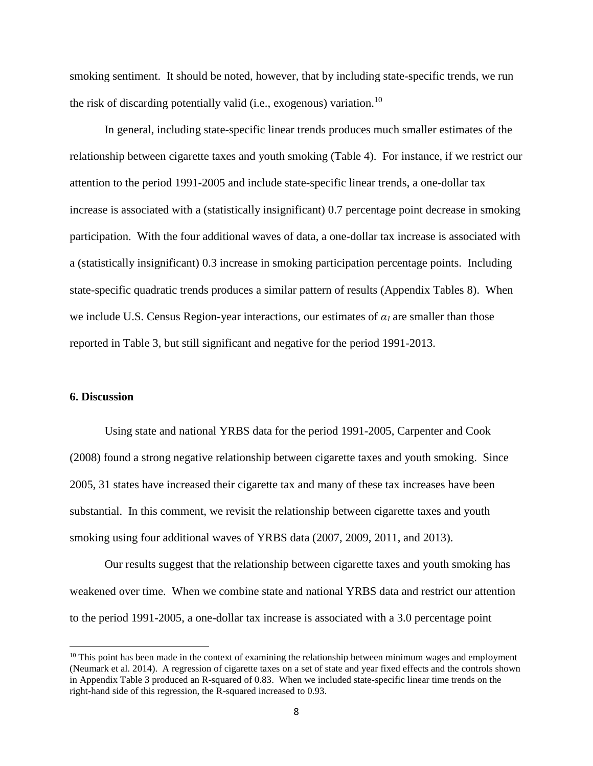smoking sentiment. It should be noted, however, that by including state-specific trends, we run the risk of discarding potentially valid (i.e., exogenous) variation.<sup>10</sup>

In general, including state-specific linear trends produces much smaller estimates of the relationship between cigarette taxes and youth smoking (Table 4). For instance, if we restrict our attention to the period 1991-2005 and include state-specific linear trends, a one-dollar tax increase is associated with a (statistically insignificant) 0.7 percentage point decrease in smoking participation. With the four additional waves of data, a one-dollar tax increase is associated with a (statistically insignificant) 0.3 increase in smoking participation percentage points. Including state-specific quadratic trends produces a similar pattern of results (Appendix Tables 8). When we include U.S. Census Region-year interactions, our estimates of *α1* are smaller than those reported in Table 3, but still significant and negative for the period 1991-2013.

#### **6. Discussion**

 $\overline{\phantom{a}}$ 

Using state and national YRBS data for the period 1991-2005, Carpenter and Cook (2008) found a strong negative relationship between cigarette taxes and youth smoking. Since 2005, 31 states have increased their cigarette tax and many of these tax increases have been substantial. In this comment, we revisit the relationship between cigarette taxes and youth smoking using four additional waves of YRBS data (2007, 2009, 2011, and 2013).

Our results suggest that the relationship between cigarette taxes and youth smoking has weakened over time. When we combine state and national YRBS data and restrict our attention to the period 1991-2005, a one-dollar tax increase is associated with a 3.0 percentage point

 $10$  This point has been made in the context of examining the relationship between minimum wages and employment (Neumark et al. 2014). A regression of cigarette taxes on a set of state and year fixed effects and the controls shown in Appendix Table 3 produced an R-squared of 0.83. When we included state-specific linear time trends on the right-hand side of this regression, the R-squared increased to 0.93.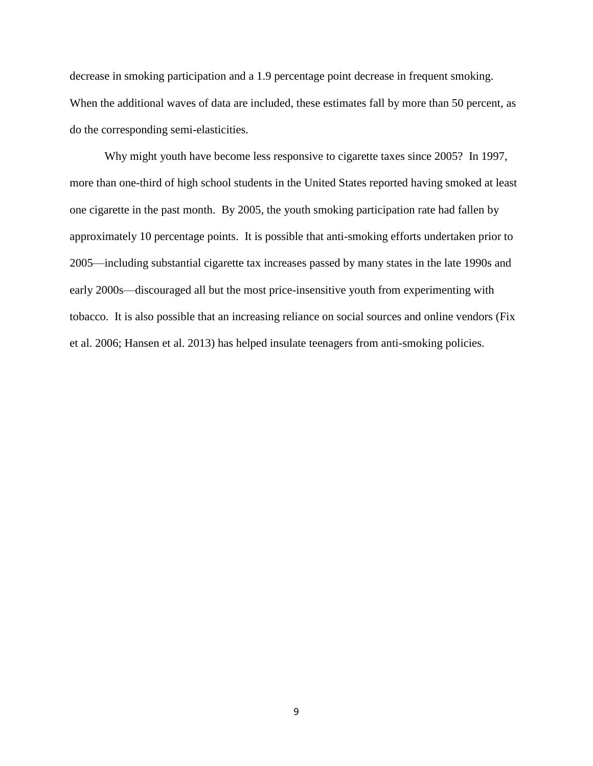decrease in smoking participation and a 1.9 percentage point decrease in frequent smoking. When the additional waves of data are included, these estimates fall by more than 50 percent, as do the corresponding semi-elasticities.

Why might youth have become less responsive to cigarette taxes since 2005? In 1997, more than one-third of high school students in the United States reported having smoked at least one cigarette in the past month. By 2005, the youth smoking participation rate had fallen by approximately 10 percentage points. It is possible that anti-smoking efforts undertaken prior to 2005—including substantial cigarette tax increases passed by many states in the late 1990s and early 2000s—discouraged all but the most price-insensitive youth from experimenting with tobacco. It is also possible that an increasing reliance on social sources and online vendors (Fix et al. 2006; Hansen et al. 2013) has helped insulate teenagers from anti-smoking policies.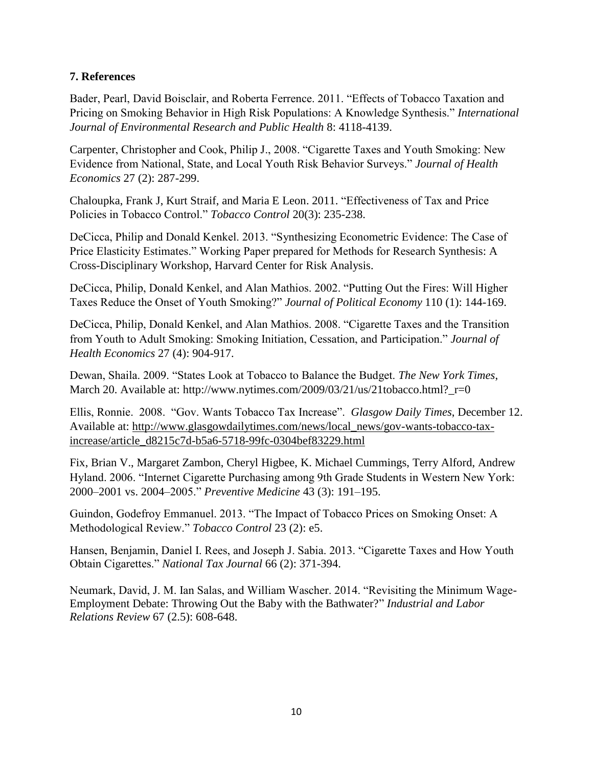### **7. References**

Bader, Pearl, David Boisclair, and Roberta Ferrence. 2011. "Effects of Tobacco Taxation and Pricing on Smoking Behavior in High Risk Populations: A Knowledge Synthesis." *International Journal of Environmental Research and Public Health* 8: 4118-4139.

Carpenter, Christopher and Cook, Philip J., 2008. "Cigarette Taxes and Youth Smoking: New Evidence from National, State, and Local Youth Risk Behavior Surveys." *Journal of Health Economics* 27 (2): 287-299.

Chaloupka, Frank J, Kurt Straif, and Maria E Leon. 2011. "Effectiveness of Tax and Price Policies in Tobacco Control." *Tobacco Control* 20(3): 235-238.

DeCicca, Philip and Donald Kenkel. 2013. "Synthesizing Econometric Evidence: The Case of Price Elasticity Estimates." Working Paper prepared for Methods for Research Synthesis: A Cross-Disciplinary Workshop, Harvard Center for Risk Analysis.

DeCicca, Philip, Donald Kenkel, and Alan Mathios. 2002. "Putting Out the Fires: Will Higher Taxes Reduce the Onset of Youth Smoking?" *Journal of Political Economy* 110 (1): 144-169.

DeCicca, Philip, Donald Kenkel, and Alan Mathios. 2008. "Cigarette Taxes and the Transition from Youth to Adult Smoking: Smoking Initiation, Cessation, and Participation." *Journal of Health Economics* 27 (4): 904-917.

Dewan, Shaila. 2009. "States Look at Tobacco to Balance the Budget. *The New York Times*, March 20. Available at: http://www.nytimes.com/2009/03/21/us/21tobacco.html?  $r=0$ 

Ellis, Ronnie. 2008. "Gov. Wants Tobacco Tax Increase". *Glasgow Daily Times*, December 12. Available at: [http://www.glasgowdailytimes.com/news/local\\_news/gov-wants-tobacco-tax](http://www.glasgowdailytimes.com/news/local_news/gov-wants-tobacco-tax-increase/article_d8215c7d-b5a6-5718-99fc-0304bef83229.html)[increase/article\\_d8215c7d-b5a6-5718-99fc-0304bef83229.html](http://www.glasgowdailytimes.com/news/local_news/gov-wants-tobacco-tax-increase/article_d8215c7d-b5a6-5718-99fc-0304bef83229.html)

Fix, Brian V., Margaret Zambon, Cheryl Higbee, K. Michael Cummings, Terry Alford, Andrew Hyland. 2006. "Internet Cigarette Purchasing among 9th Grade Students in Western New York: 2000–2001 vs. 2004–2005." *Preventive Medicine* 43 (3): 191–195.

Guindon, Godefroy Emmanuel. 2013. "The Impact of Tobacco Prices on Smoking Onset: A Methodological Review." *Tobacco Control* 23 (2): e5.

Hansen, Benjamin, Daniel I. Rees, and Joseph J. Sabia. 2013. "Cigarette Taxes and How Youth Obtain Cigarettes." *National Tax Journal* 66 (2): 371-394.

Neumark, David, J. M. Ian Salas, and William Wascher. 2014. "Revisiting the Minimum Wage-Employment Debate: Throwing Out the Baby with the Bathwater?" *Industrial and Labor Relations Review* 67 (2.5): 608-648.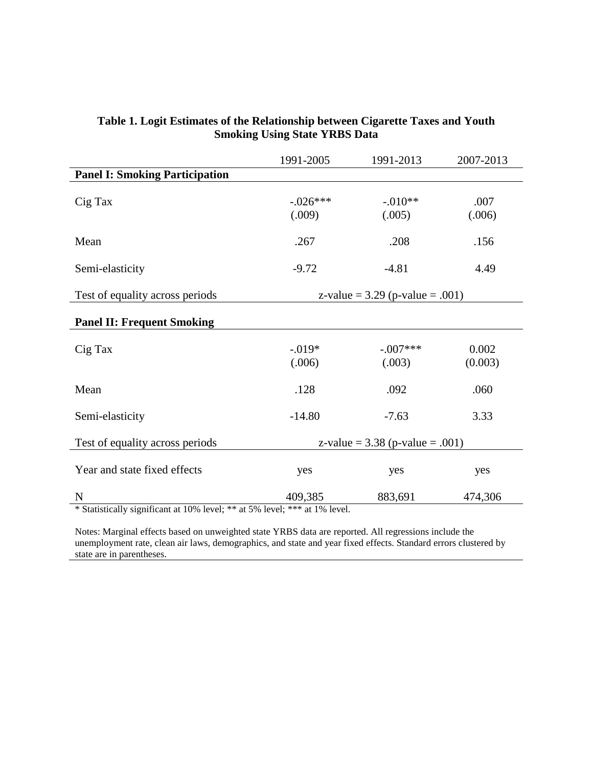|                                                                                   | 1991-2005            | 1991-2013                         | 2007-2013        |
|-----------------------------------------------------------------------------------|----------------------|-----------------------------------|------------------|
| <b>Panel I: Smoking Participation</b>                                             |                      |                                   |                  |
| Cig Tax                                                                           | $-.026***$<br>(.009) | $-.010**$<br>(.005)               | .007<br>(.006)   |
| Mean                                                                              | .267                 | .208                              | .156             |
| Semi-elasticity                                                                   | $-9.72$              | $-4.81$                           | 4.49             |
| Test of equality across periods                                                   |                      | z-value = $3.29$ (p-value = .001) |                  |
| <b>Panel II: Frequent Smoking</b>                                                 |                      |                                   |                  |
| Cig Tax                                                                           | $-.019*$<br>(.006)   | $-.007***$<br>(.003)              | 0.002<br>(0.003) |
| Mean                                                                              | .128                 | .092                              | .060             |
| Semi-elasticity                                                                   | $-14.80$             | $-7.63$                           | 3.33             |
| Test of equality across periods                                                   |                      | z-value = $3.38$ (p-value = .001) |                  |
| Year and state fixed effects                                                      | yes                  | yes                               | yes              |
| N<br>* Statistically significant at $10\%$ level: ** at 5% level: *** at 1% level | 409,385              | 883,691                           | 474,306          |

### **Table 1. Logit Estimates of the Relationship between Cigarette Taxes and Youth Smoking Using State YRBS Data**

Statistically significant at 10% level; \*\* at 5% level; \*\*\* at 1% level.

Notes: Marginal effects based on unweighted state YRBS data are reported. All regressions include the unemployment rate, clean air laws, demographics, and state and year fixed effects. Standard errors clustered by state are in parentheses.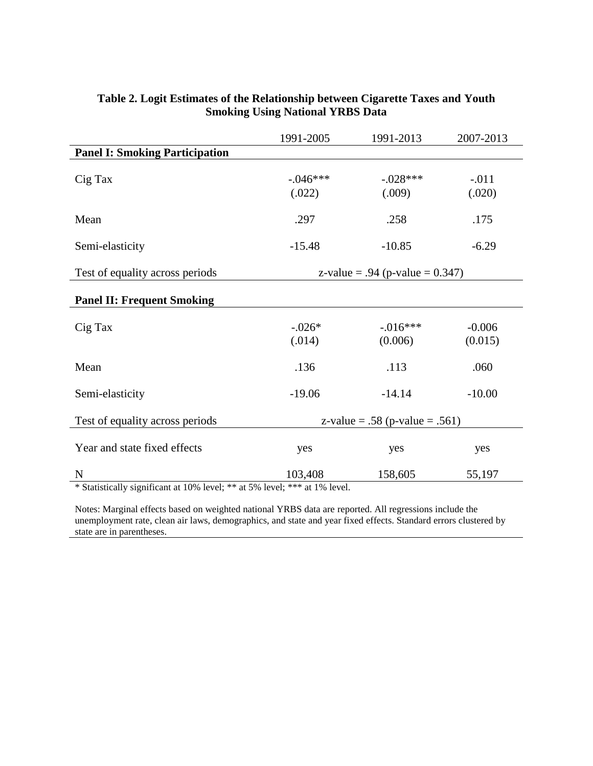|                                       | 1991-2005            | 1991-2013                          | 2007-2013           |
|---------------------------------------|----------------------|------------------------------------|---------------------|
| <b>Panel I: Smoking Participation</b> |                      |                                    |                     |
| Cig Tax                               | $-.046***$<br>(.022) | $-.028***$<br>(.009)               | $-.011$<br>(.020)   |
| Mean                                  | .297                 | .258                               | .175                |
| Semi-elasticity                       | $-15.48$             | $-10.85$                           | $-6.29$             |
| Test of equality across periods       |                      | z-value = .94 (p-value = $0.347$ ) |                     |
| <b>Panel II: Frequent Smoking</b>     |                      |                                    |                     |
| Cig Tax                               | $-.026*$<br>(.014)   | $-0.016***$<br>(0.006)             | $-0.006$<br>(0.015) |
| Mean                                  | .136                 | .113                               | .060                |
| Semi-elasticity                       | $-19.06$             | $-14.14$                           | $-10.00$            |
| Test of equality across periods       |                      | z-value = .58 (p-value = .561)     |                     |
| Year and state fixed effects          | yes                  | yes                                | yes                 |
| $\mathbf N$                           | 103,408              | 158,605                            | 55,197              |

### **Table 2. Logit Estimates of the Relationship between Cigarette Taxes and Youth Smoking Using National YRBS Data**

\* Statistically significant at 10% level; \*\* at 5% level; \*\*\* at 1% level.

Notes: Marginal effects based on weighted national YRBS data are reported. All regressions include the unemployment rate, clean air laws, demographics, and state and year fixed effects. Standard errors clustered by state are in parentheses.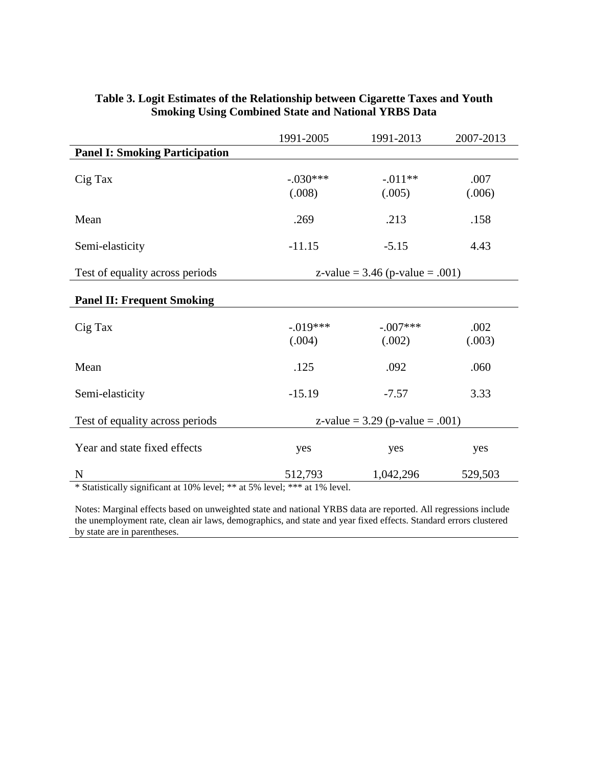|                                       | 1991-2005             | 1991-2013                         | 2007-2013      |
|---------------------------------------|-----------------------|-----------------------------------|----------------|
| <b>Panel I: Smoking Participation</b> |                       |                                   |                |
| Cig Tax                               | $-.030***$<br>(.008)  | $-.011**$<br>(.005)               | .007<br>(.006) |
| Mean                                  | .269                  | .213                              | .158           |
| Semi-elasticity                       | $-11.15$              | $-5.15$                           | 4.43           |
| Test of equality across periods       |                       | z-value = $3.46$ (p-value = .001) |                |
| <b>Panel II: Frequent Smoking</b>     |                       |                                   |                |
| Cig Tax                               | $-0.019***$<br>(.004) | $-.007***$<br>(.002)              | .002<br>(.003) |
| Mean                                  | .125                  | .092                              | .060           |
| Semi-elasticity                       | $-15.19$              | $-7.57$                           | 3.33           |
| Test of equality across periods       |                       | z-value = $3.29$ (p-value = .001) |                |
| Year and state fixed effects          | yes                   | yes                               | yes            |
| $\mathbf N$                           | 512,793               | 1,042,296                         | 529,503        |

### **Table 3. Logit Estimates of the Relationship between Cigarette Taxes and Youth Smoking Using Combined State and National YRBS Data**

\* Statistically significant at 10% level; \*\* at 5% level; \*\*\* at 1% level.

Notes: Marginal effects based on unweighted state and national YRBS data are reported. All regressions include the unemployment rate, clean air laws, demographics, and state and year fixed effects. Standard errors clustered by state are in parentheses.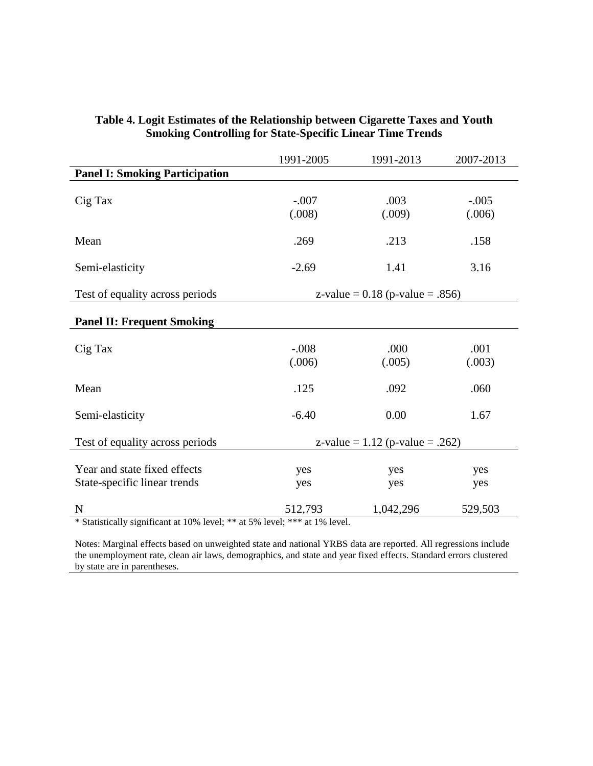|                                                              | 1991-2005         | 1991-2013                         | 2007-2013         |
|--------------------------------------------------------------|-------------------|-----------------------------------|-------------------|
| <b>Panel I: Smoking Participation</b>                        |                   |                                   |                   |
| Cig Tax                                                      | $-.007$<br>(.008) | .003<br>(.009)                    | $-.005$<br>(.006) |
| Mean                                                         | .269              | .213                              | .158              |
| Semi-elasticity                                              | $-2.69$           | 1.41                              | 3.16              |
| Test of equality across periods                              |                   | z-value = $0.18$ (p-value = .856) |                   |
| <b>Panel II: Frequent Smoking</b>                            |                   |                                   |                   |
| Cig Tax                                                      | $-.008$<br>(.006) | .000<br>(.005)                    | .001<br>(.003)    |
| Mean                                                         | .125              | .092                              | .060              |
| Semi-elasticity                                              | $-6.40$           | 0.00                              | 1.67              |
| Test of equality across periods                              |                   | z-value = $1.12$ (p-value = .262) |                   |
| Year and state fixed effects<br>State-specific linear trends | yes<br>yes        | yes<br>yes                        | yes<br>yes        |
| N                                                            | 512,793           | 1,042,296                         | 529,503           |

#### **Table 4. Logit Estimates of the Relationship between Cigarette Taxes and Youth Smoking Controlling for State-Specific Linear Time Trends**

\* Statistically significant at 10% level; \*\* at 5% level; \*\*\* at 1% level.

Notes: Marginal effects based on unweighted state and national YRBS data are reported. All regressions include the unemployment rate, clean air laws, demographics, and state and year fixed effects. Standard errors clustered by state are in parentheses.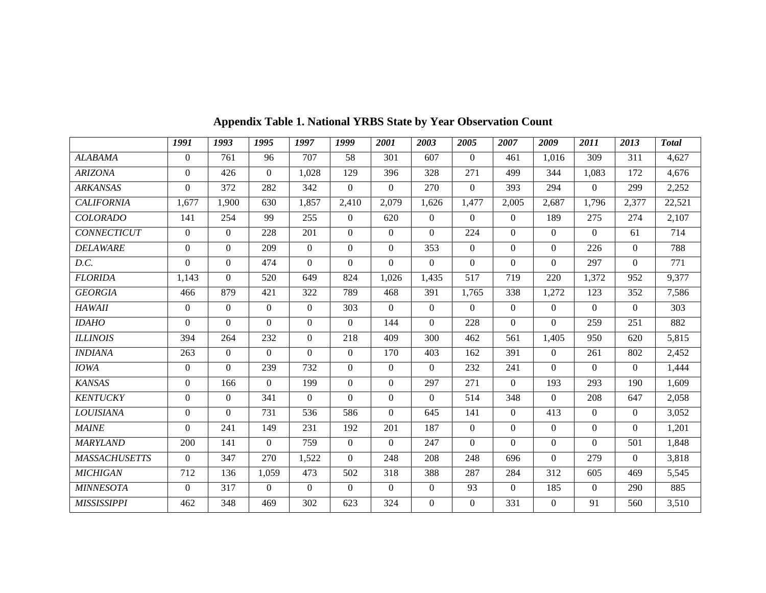|                      | 1991           | 1993     | 1995     | 1997           | 1999           | 2001           | 2003           | 2005           | 2007           | 2009           | 2011           | 2013           | <b>Total</b> |
|----------------------|----------------|----------|----------|----------------|----------------|----------------|----------------|----------------|----------------|----------------|----------------|----------------|--------------|
| <b>ALABAMA</b>       | $\overline{0}$ | 761      | 96       | 707            | 58             | 301            | 607            | $\Omega$       | 461            | 1,016          | 309            | 311            | 4,627        |
| <b>ARIZONA</b>       | $\Omega$       | 426      | $\Omega$ | 1,028          | 129            | 396            | 328            | 271            | 499            | 344            | 1,083          | 172            | 4,676        |
| <b>ARKANSAS</b>      | $\overline{0}$ | 372      | 282      | 342            | $\Omega$       | $\Omega$       | 270            | $\Omega$       | 393            | 294            | $\overline{0}$ | 299            | 2,252        |
| <b>CALIFORNIA</b>    | 1,677          | 1,900    | 630      | 1,857          | 2,410          | 2,079          | 1,626          | 1,477          | 2,005          | 2,687          | 1,796          | 2,377          | 22,521       |
| <b>COLORADO</b>      | 141            | 254      | 99       | 255            | $\theta$       | 620            | $\theta$       | $\theta$       | $\theta$       | 189            | 275            | 274            | 2,107        |
| <b>CONNECTICUT</b>   | $\overline{0}$ | $\Omega$ | 228      | 201            | $\overline{0}$ | $\overline{0}$ | $\Omega$       | 224            | $\overline{0}$ | $\overline{0}$ | $\overline{0}$ | 61             | 714          |
| <b>DELAWARE</b>      | $\overline{0}$ | $\Omega$ | 209      | $\Omega$       | $\overline{0}$ | $\Omega$       | 353            | $\Omega$       | $\overline{0}$ | $\Omega$       | 226            | $\Omega$       | 788          |
| D.C.                 | $\overline{0}$ | $\Omega$ | 474      | $\mathbf{0}$   | $\overline{0}$ | $\overline{0}$ | $\Omega$       | $\overline{0}$ | $\overline{0}$ | $\Omega$       | 297            | $\Omega$       | 771          |
| <b>FLORIDA</b>       | 1,143          | $\Omega$ | 520      | 649            | 824            | 1,026          | 1,435          | 517            | 719            | 220            | 1,372          | 952            | 9,377        |
| <b>GEORGIA</b>       | 466            | 879      | 421      | 322            | 789            | 468            | 391            | 1,765          | 338            | 1,272          | 123            | 352            | 7,586        |
| <b>HAWAII</b>        | $\overline{0}$ | $\theta$ | $\Omega$ | $\overline{0}$ | 303            | $\Omega$       | $\overline{0}$ | $\theta$       | $\overline{0}$ | $\overline{0}$ | $\Omega$       | $\Omega$       | 303          |
| <b>IDAHO</b>         | $\Omega$       | $\Omega$ | $\Omega$ | $\Omega$       | $\overline{0}$ | 144            | $\Omega$       | 228            | $\overline{0}$ | $\Omega$       | 259            | 251            | 882          |
| <b>ILLINOIS</b>      | 394            | 264      | 232      | $\overline{0}$ | 218            | 409            | 300            | 462            | 561            | 1,405          | 950            | 620            | 5,815        |
| <b>INDIANA</b>       | 263            | $\theta$ | $\Omega$ | $\theta$       | $\overline{0}$ | 170            | 403            | 162            | 391            | $\Omega$       | 261            | 802            | 2,452        |
| <b>IOWA</b>          | $\overline{0}$ | $\Omega$ | 239      | 732            | $\Omega$       | $\overline{0}$ | $\Omega$       | 232            | 241            | $\Omega$       | $\overline{0}$ | $\Omega$       | 1,444        |
| <b>KANSAS</b>        | $\Omega$       | 166      | $\theta$ | 199            | $\Omega$       | $\Omega$       | 297            | 271            | $\theta$       | 193            | 293            | 190            | 1,609        |
| <b>KENTUCKY</b>      | $\overline{0}$ | $\theta$ | 341      | $\overline{0}$ | $\Omega$       | $\overline{0}$ | $\overline{0}$ | 514            | 348            | $\Omega$       | 208            | 647            | 2,058        |
| <b>LOUISIANA</b>     | $\overline{0}$ | $\Omega$ | 731      | 536            | 586            | $\Omega$       | 645            | 141            | $\overline{0}$ | 413            | $\overline{0}$ | $\Omega$       | 3,052        |
| <b>MAINE</b>         | $\mathbf{0}$   | 241      | 149      | 231            | 192            | 201            | 187            | $\overline{0}$ | $\overline{0}$ | $\Omega$       | $\overline{0}$ | $\overline{0}$ | 1,201        |
| <b>MARYLAND</b>      | 200            | 141      | $\theta$ | 759            | $\overline{0}$ | $\Omega$       | 247            | $\Omega$       | $\overline{0}$ | $\Omega$       | $\overline{0}$ | 501            | 1,848        |
| <b>MASSACHUSETTS</b> | $\overline{0}$ | 347      | 270      | 1,522          | $\Omega$       | 248            | 208            | 248            | 696            | $\Omega$       | 279            | $\theta$       | 3,818        |
| <b>MICHIGAN</b>      | 712            | 136      | 1,059    | 473            | 502            | 318            | 388            | 287            | 284            | 312            | 605            | 469            | 5,545        |
| <b>MINNESOTA</b>     | $\overline{0}$ | 317      | $\theta$ | $\overline{0}$ | $\Omega$       | $\Omega$       | $\overline{0}$ | 93             | $\mathbf{0}$   | 185            | $\overline{0}$ | 290            | 885          |
| <b>MISSISSIPPI</b>   | 462            | 348      | 469      | 302            | 623            | 324            | $\Omega$       | $\overline{0}$ | 331            | $\Omega$       | 91             | 560            | 3,510        |

**Appendix Table 1. National YRBS State by Year Observation Count**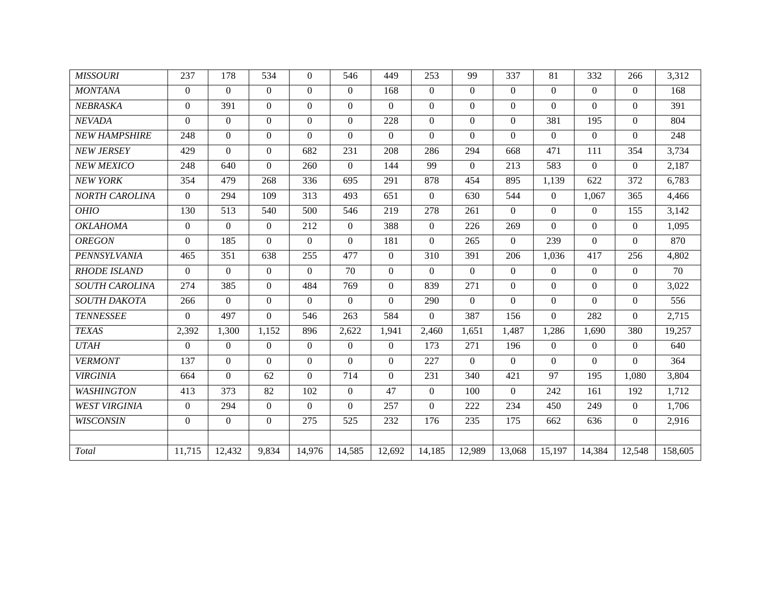| <b>MISSOURI</b>       | 237            | 178            | 534            | $\Omega$       | 546            | 449            | 253              | 99       | 337            | 81             | 332            | 266      | 3,312   |
|-----------------------|----------------|----------------|----------------|----------------|----------------|----------------|------------------|----------|----------------|----------------|----------------|----------|---------|
| <b>MONTANA</b>        | $\overline{0}$ | $\Omega$       | $\overline{0}$ | $\overline{0}$ | $\overline{0}$ | 168            | $\overline{0}$   | $\Omega$ | $\overline{0}$ | $\theta$       | $\overline{0}$ | $\theta$ | 168     |
| NEBRASKA              | $\Omega$       | 391            | $\Omega$       | $\Omega$       | $\Omega$       | $\Omega$       | $\Omega$         | $\Omega$ | $\theta$       | $\Omega$       | $\mathbf{0}$   | $\Omega$ | 391     |
| NEVADA                | $\Omega$       | $\theta$       | $\Omega$       | $\mathbf{0}$   | $\overline{0}$ | 228            | $\Omega$         | $\Omega$ | $\overline{0}$ | 381            | 195            | $\Omega$ | 804     |
| <b>NEW HAMPSHIRE</b>  | 248            | $\theta$       | $\Omega$       | $\Omega$       | $\overline{0}$ | $\Omega$       | $\Omega$         | $\Omega$ | $\theta$       | $\Omega$       | $\Omega$       | $\theta$ | 248     |
| <b>NEW JERSEY</b>     | 429            | $\Omega$       | $\Omega$       | 682            | 231            | 208            | 286              | 294      | 668            | 471            | 111            | 354      | 3,734   |
| NEW MEXICO            | 248            | 640            | $\Omega$       | 260            | $\theta$       | 144            | 99               | $\Omega$ | 213            | 583            | $\overline{0}$ | $\theta$ | 2,187   |
| <b>NEW YORK</b>       | 354            | 479            | 268            | 336            | 695            | 291            | 878              | 454      | 895            | 1,139          | 622            | 372      | 6,783   |
| NORTH CAROLINA        | $\overline{0}$ | 294            | 109            | 313            | 493            | 651            | $\Omega$         | 630      | 544            | $\overline{0}$ | 1,067          | 365      | 4,466   |
| <b>OHIO</b>           | 130            | 513            | 540            | 500            | 546            | 219            | 278              | 261      | $\Omega$       | $\Omega$       | $\Omega$       | 155      | 3,142   |
| <b>OKLAHOMA</b>       | $\overline{0}$ | $\overline{0}$ | $\Omega$       | 212            | $\mathbf{0}$   | 388            | $\Omega$         | 226      | 269            | $\Omega$       | $\Omega$       | $\theta$ | 1,095   |
| <b>OREGON</b>         | $\Omega$       | 185            | $\Omega$       | $\Omega$       | $\theta$       | 181            | $\Omega$         | 265      | $\theta$       | 239            | $\Omega$       | $\theta$ | 870     |
| PENNSYLVANIA          | 465            | 351            | 638            | 255            | 477            | $\Omega$       | $\overline{310}$ | 391      | 206            | 1,036          | 417            | 256      | 4,802   |
| <b>RHODE ISLAND</b>   | $\overline{0}$ | $\theta$       | $\Omega$       | $\Omega$       | 70             | $\overline{0}$ | $\Omega$         | $\Omega$ | $\theta$       | $\theta$       | $\overline{0}$ | $\theta$ | 70      |
| <b>SOUTH CAROLINA</b> | 274            | 385            | $\Omega$       | 484            | 769            | $\Omega$       | 839              | 271      | $\theta$       | $\Omega$       | $\overline{0}$ | $\theta$ | 3,022   |
| SOUTH DAKOTA          | 266            | $\Omega$       | $\mathbf{0}$   | $\Omega$       | $\theta$       | $\Omega$       | 290              | $\Omega$ | $\theta$       | $\theta$       | $\Omega$       | $\theta$ | 556     |
| <b>TENNESSEE</b>      | $\Omega$       | 497            | $\Omega$       | 546            | 263            | 584            | $\Omega$         | 387      | 156            | $\Omega$       | 282            | $\Omega$ | 2,715   |
| <b>TEXAS</b>          | 2,392          | 1,300          | 1,152          | 896            | 2,622          | 1,941          | 2,460            | 1,651    | 1,487          | 1,286          | 1,690          | 380      | 19,257  |
| <b>UTAH</b>           | $\overline{0}$ | $\theta$       | $\Omega$       | $\Omega$       | $\overline{0}$ | $\overline{0}$ | 173              | 271      | 196            | $\Omega$       | $\overline{0}$ | $\theta$ | 640     |
| <b>VERMONT</b>        | 137            | $\Omega$       | $\Omega$       | $\Omega$       | $\Omega$       | $\Omega$       | 227              | $\Omega$ | $\Omega$       | $\Omega$       | $\overline{0}$ | $\Omega$ | 364     |
| <b>VIRGINIA</b>       | 664            | $\theta$       | 62             | $\Omega$       | 714            | $\Omega$       | 231              | 340      | 421            | 97             | 195            | 1,080    | 3,804   |
| WASHINGTON            | 413            | 373            | 82             | 102            | $\theta$       | 47             | $\Omega$         | 100      | $\theta$       | 242            | 161            | 192      | 1,712   |
| <b>WEST VIRGINIA</b>  | $\overline{0}$ | 294            | $\overline{0}$ | $\Omega$       | $\Omega$       | 257            | $\Omega$         | 222      | 234            | 450            | 249            | $\theta$ | 1,706   |
| <b>WISCONSIN</b>      | $\Omega$       | $\Omega$       | $\Omega$       | 275            | 525            | 232            | 176              | 235      | 175            | 662            | 636            | $\theta$ | 2,916   |
|                       |                |                |                |                |                |                |                  |          |                |                |                |          |         |
| Total                 | 11,715         | 12,432         | 9,834          | 14,976         | 14,585         | 12.692         | 14,185           | 12,989   | 13,068         | 15,197         | 14,384         | 12,548   | 158,605 |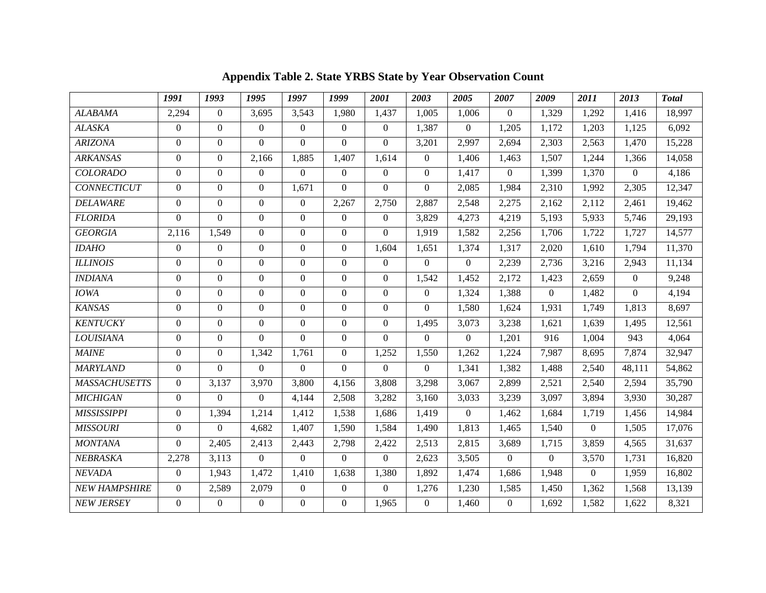|                      | 1991           | 1993             | 1995             | 1997             | 1999             | 2001           | 2003           | 2005     | 2007           | 2009     | 2011     | 2013           | <b>Total</b> |
|----------------------|----------------|------------------|------------------|------------------|------------------|----------------|----------------|----------|----------------|----------|----------|----------------|--------------|
| <b>ALABAMA</b>       | 2,294          | $\theta$         | 3,695            | 3,543            | 1,980            | 1,437          | 1,005          | 1,006    | $\Omega$       | 1,329    | 1,292    | 1,416          | 18,997       |
| <b>ALASKA</b>        | $\theta$       | $\overline{0}$   | $\Omega$         | $\Omega$         | $\mathbf{0}$     | $\overline{0}$ | 1,387          | $\Omega$ | 1,205          | 1,172    | 1,203    | 1,125          | 6,092        |
| <b>ARIZONA</b>       | $\Omega$       | $\Omega$         | $\Omega$         | $\Omega$         | $\Omega$         | $\Omega$       | 3,201          | 2,997    | 2,694          | 2,303    | 2,563    | 1,470          | 15,228       |
| <b>ARKANSAS</b>      | $\Omega$       | $\Omega$         | 2.166            | 1,885            | 1,407            | 1,614          | $\overline{0}$ | 1,406    | 1,463          | 1,507    | 1.244    | 1,366          | 14,058       |
| <b>COLORADO</b>      | $\Omega$       | $\Omega$         | $\theta$         | $\Omega$         | $\overline{0}$   | $\overline{0}$ | $\overline{0}$ | 1,417    | $\overline{0}$ | 1,399    | 1,370    | $\overline{0}$ | 4,186        |
| <b>CONNECTICUT</b>   | $\Omega$       | $\Omega$         | $\Omega$         | 1,671            | $\Omega$         | $\Omega$       | $\Omega$       | 2,085    | 1,984          | 2,310    | 1,992    | 2,305          | 12,347       |
| <b>DELAWARE</b>      | $\overline{0}$ | $\Omega$         | $\overline{0}$   | $\theta$         | 2,267            | 2,750          | 2,887          | 2,548    | 2,275          | 2,162    | 2,112    | 2,461          | 19,462       |
| <b>FLORIDA</b>       | $\Omega$       | $\Omega$         | $\boldsymbol{0}$ | $\Omega$         | $\boldsymbol{0}$ | $\overline{0}$ | 3,829          | 4,273    | 4,219          | 5,193    | 5,933    | 5,746          | 29,193       |
| <b>GEORGIA</b>       | 2,116          | 1,549            | $\Omega$         | $\theta$         | $\mathbf{0}$     | $\Omega$       | 1,919          | 1,582    | 2,256          | 1,706    | 1,722    | 1,727          | 14,577       |
| <b>IDAHO</b>         | $\overline{0}$ | $\theta$         | $\boldsymbol{0}$ | $\Omega$         | $\boldsymbol{0}$ | 1,604          | 1,651          | 1,374    | 1,317          | 2,020    | 1,610    | 1,794          | 11,370       |
| <b>ILLINOIS</b>      | $\Omega$       | $\Omega$         | $\boldsymbol{0}$ | $\Omega$         | $\overline{0}$   | $\overline{0}$ | $\overline{0}$ | $\Omega$ | 2,239          | 2,736    | 3,216    | 2,943          | 11,134       |
| <b>INDIANA</b>       | $\Omega$       | $\Omega$         | $\Omega$         | $\Omega$         | $\overline{0}$   | $\Omega$       | 1,542          | 1,452    | 2,172          | 1,423    | 2,659    | $\Omega$       | 9,248        |
| <b>IOWA</b>          | $\overline{0}$ | $\Omega$         | $\theta$         | $\Omega$         | $\boldsymbol{0}$ | $\overline{0}$ | $\overline{0}$ | 1,324    | 1,388          | $\theta$ | 1,482    | $\Omega$       | 4,194        |
| <b>KANSAS</b>        | $\Omega$       | $\Omega$         | $\boldsymbol{0}$ | $\boldsymbol{0}$ | $\boldsymbol{0}$ | $\overline{0}$ | $\overline{0}$ | 1,580    | 1,624          | 1,931    | 1,749    | 1,813          | 8,697        |
| <b>KENTUCKY</b>      | $\Omega$       | $\theta$         | $\Omega$         | $\Omega$         | $\mathbf{0}$     | $\Omega$       | 1,495          | 3,073    | 3,238          | 1,621    | 1,639    | 1,495          | 12,561       |
| <b>LOUISIANA</b>     | $\Omega$       | $\Omega$         | $\Omega$         | $\Omega$         | $\boldsymbol{0}$ | $\overline{0}$ | $\overline{0}$ | $\Omega$ | 1,201          | 916      | 1,004    | 943            | 4,064        |
| <b>MAINE</b>         | $\Omega$       | $\boldsymbol{0}$ | 1,342            | 1,761            | $\overline{0}$   | 1,252          | 1,550          | 1,262    | 1,224          | 7,987    | 8,695    | 7,874          | 32,947       |
| <b>MARYLAND</b>      | $\Omega$       | $\Omega$         | $\Omega$         | $\Omega$         | $\Omega$         | $\Omega$       | $\overline{0}$ | 1,341    | 1,382          | 1,488    | 2,540    | 48,111         | 54,862       |
| <b>MASSACHUSETTS</b> | $\overline{0}$ | 3,137            | 3,970            | 3,800            | 4,156            | 3,808          | 3,298          | 3,067    | 2,899          | 2,521    | 2,540    | 2,594          | 35,790       |
| <b>MICHIGAN</b>      | $\Omega$       | $\Omega$         | $\Omega$         | 4,144            | 2,508            | 3,282          | 3,160          | 3,033    | 3,239          | 3,097    | 3,894    | 3,930          | 30,287       |
| <b>MISSISSIPPI</b>   | $\Omega$       | 1,394            | 1,214            | 1,412            | 1,538            | 1,686          | 1,419          | $\Omega$ | 1,462          | 1,684    | 1,719    | 1,456          | 14,984       |
| <b>MISSOURI</b>      | $\overline{0}$ | $\overline{0}$   | 4,682            | 1,407            | 1,590            | 1,584          | 1,490          | 1,813    | 1,465          | 1,540    | $\Omega$ | 1,505          | 17,076       |
| <b>MONTANA</b>       | $\Omega$       | 2,405            | 2,413            | 2,443            | 2,798            | 2,422          | 2,513          | 2,815    | 3,689          | 1,715    | 3,859    | 4,565          | 31,637       |
| NEBRASKA             | 2,278          | 3,113            | $\Omega$         | $\Omega$         | $\Omega$         | $\Omega$       | 2,623          | 3,505    | $\Omega$       | $\Omega$ | 3,570    | 1,731          | 16,820       |
| NEVADA               | $\overline{0}$ | 1,943            | 1,472            | 1,410            | 1,638            | 1,380          | 1,892          | 1,474    | 1,686          | 1,948    | $\Omega$ | 1,959          | 16,802       |
| <b>NEW HAMPSHIRE</b> | $\Omega$       | 2,589            | 2,079            | $\theta$         | $\overline{0}$   | $\Omega$       | 1,276          | 1,230    | 1,585          | 1,450    | 1,362    | 1,568          | 13,139       |
| <b>NEW JERSEY</b>    | $\Omega$       | $\theta$         | $\Omega$         | $\theta$         | $\Omega$         | 1,965          | $\overline{0}$ | 1,460    | $\Omega$       | 1,692    | 1,582    | 1,622          | 8,321        |

**Appendix Table 2. State YRBS State by Year Observation Count**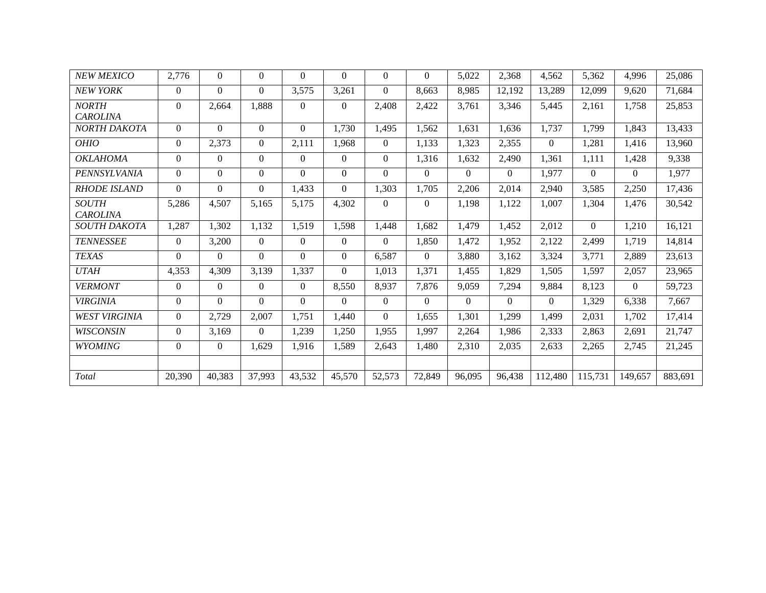| <b>NEW MEXICO</b>               | 2,776    | $\Omega$ | $\Omega$ | $\Omega$ | $\Omega$       | $\Omega$ | $\Omega$ | 5,022    | 2,368    | 4,562    | 5,362    | 4,996    | 25,086  |
|---------------------------------|----------|----------|----------|----------|----------------|----------|----------|----------|----------|----------|----------|----------|---------|
| <b>NEW YORK</b>                 | $\Omega$ | $\Omega$ | $\Omega$ | 3,575    | 3,261          | $\Omega$ | 8,663    | 8,985    | 12,192   | 13,289   | 12,099   | 9.620    | 71,684  |
| <b>NORTH</b><br><b>CAROLINA</b> | $\Omega$ | 2,664    | 1,888    | $\Omega$ | $\Omega$       | 2,408    | 2,422    | 3,761    | 3,346    | 5,445    | 2,161    | 1,758    | 25,853  |
| NORTH DAKOTA                    | $\Omega$ | $\Omega$ | $\Omega$ | $\Omega$ | 1,730          | 1,495    | 1.562    | 1.631    | 1,636    | 1,737    | 1.799    | 1.843    | 13,433  |
| <b>OHIO</b>                     | $\Omega$ | 2,373    | $\Omega$ | 2,111    | 1.968          | $\Omega$ | 1,133    | 1,323    | 2,355    | $\Omega$ | 1,281    | 1.416    | 13,960  |
| OKLAHOMA                        | $\Omega$ | $\theta$ | $\Omega$ | $\Omega$ | $\Omega$       | $\Omega$ | 1,316    | 1,632    | 2,490    | 1.361    | 1,111    | 1,428    | 9,338   |
| PENNSYLVANIA                    | $\Omega$ | $\Omega$ | $\theta$ | $\Omega$ | $\overline{0}$ | $\Omega$ | $\Omega$ | $\Omega$ | $\Omega$ | 1,977    | $\Omega$ | $\Omega$ | 1,977   |
| <b>RHODE ISLAND</b>             | $\Omega$ | $\Omega$ | $\Omega$ | 1,433    | $\Omega$       | 1,303    | 1,705    | 2,206    | 2.014    | 2.940    | 3.585    | 2,250    | 17.436  |
| <b>SOUTH</b><br><b>CAROLINA</b> | 5,286    | 4,507    | 5,165    | 5,175    | 4,302          | $\Omega$ | $\Omega$ | 1,198    | 1,122    | 1,007    | 1,304    | 1.476    | 30,542  |
| SOUTH DAKOTA                    | 1,287    | 1,302    | 1,132    | 1.519    | 1,598          | 1.448    | 1,682    | 1,479    | 1.452    | 2,012    | $\Omega$ | 1.210    | 16,121  |
| <b>TENNESSEE</b>                | $\Omega$ | 3,200    | $\Omega$ | $\Omega$ | $\overline{0}$ | $\Omega$ | 1,850    | 1,472    | 1.952    | 2,122    | 2,499    | 1.719    | 14,814  |
| <b>TEXAS</b>                    | $\Omega$ | 0        | $\Omega$ | $\Omega$ | $\Omega$       | 6,587    | $\Omega$ | 3,880    | 3,162    | 3,324    | 3,771    | 2,889    | 23,613  |
| <b>UTAH</b>                     | 4,353    | 4.309    | 3,139    | 1,337    | $\Omega$       | 1.013    | 1,371    | 1.455    | 1.829    | 1,505    | 1.597    | 2,057    | 23,965  |
| <b>VERMONT</b>                  | $\Omega$ | $\Omega$ | $\Omega$ | $\theta$ | 8,550          | 8,937    | 7,876    | 9,059    | 7,294    | 9,884    | 8,123    | $\Omega$ | 59,723  |
| <b>VIRGINIA</b>                 | $\Omega$ | $\Omega$ | $\Omega$ | $\Omega$ | $\Omega$       | $\Omega$ | $\Omega$ | $\Omega$ | $\Omega$ | 0        | 1,329    | 6,338    | 7,667   |
| <i>WEST VIRGINIA</i>            | $\Omega$ | 2,729    | 2,007    | 1,751    | 1.440          | $\Omega$ | 1.655    | 1.301    | 1.299    | 1.499    | 2,031    | 1.702    | 17.414  |
| <b>WISCONSIN</b>                | $\Omega$ | 3.169    | $\Omega$ | 1,239    | 1,250          | 1.955    | 1.997    | 2,264    | 1.986    | 2,333    | 2,863    | 2,691    | 21,747  |
| <b>WYOMING</b>                  | $\Omega$ | $\theta$ | 1,629    | 1,916    | 1,589          | 2,643    | 1.480    | 2,310    | 2,035    | 2,633    | 2,265    | 2,745    | 21,245  |
|                                 |          |          |          |          |                |          |          |          |          |          |          |          |         |
| Total                           | 20,390   | 40,383   | 37,993   | 43,532   | 45,570         | 52,573   | 72,849   | 96,095   | 96,438   | 112,480  | 115,731  | 149,657  | 883,691 |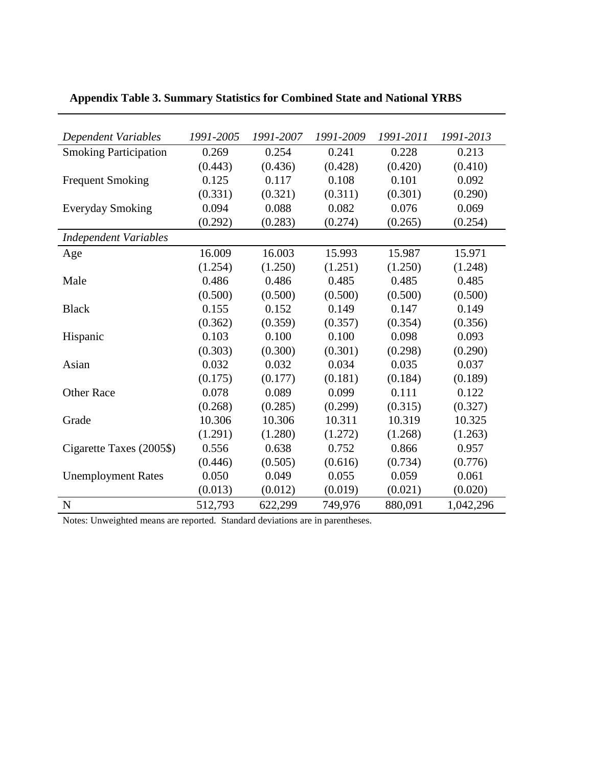| Dependent Variables          | 1991-2005 | 1991-2007 | 1991-2009 | 1991-2011 | 1991-2013 |
|------------------------------|-----------|-----------|-----------|-----------|-----------|
| <b>Smoking Participation</b> | 0.269     | 0.254     | 0.241     | 0.228     | 0.213     |
|                              | (0.443)   | (0.436)   | (0.428)   | (0.420)   | (0.410)   |
| <b>Frequent Smoking</b>      | 0.125     | 0.117     | 0.108     | 0.101     | 0.092     |
|                              | (0.331)   | (0.321)   | (0.311)   | (0.301)   | (0.290)   |
| <b>Everyday Smoking</b>      | 0.094     | 0.088     | 0.082     | 0.076     | 0.069     |
|                              | (0.292)   | (0.283)   | (0.274)   | (0.265)   | (0.254)   |
| <b>Independent Variables</b> |           |           |           |           |           |
| Age                          | 16.009    | 16.003    | 15.993    | 15.987    | 15.971    |
|                              | (1.254)   | (1.250)   | (1.251)   | (1.250)   | (1.248)   |
| Male                         | 0.486     | 0.486     | 0.485     | 0.485     | 0.485     |
|                              | (0.500)   | (0.500)   | (0.500)   | (0.500)   | (0.500)   |
| <b>Black</b>                 | 0.155     | 0.152     | 0.149     | 0.147     | 0.149     |
|                              | (0.362)   | (0.359)   | (0.357)   | (0.354)   | (0.356)   |
| Hispanic                     | 0.103     | 0.100     | 0.100     | 0.098     | 0.093     |
|                              | (0.303)   | (0.300)   | (0.301)   | (0.298)   | (0.290)   |
| Asian                        | 0.032     | 0.032     | 0.034     | 0.035     | 0.037     |
|                              | (0.175)   | (0.177)   | (0.181)   | (0.184)   | (0.189)   |
| <b>Other Race</b>            | 0.078     | 0.089     | 0.099     | 0.111     | 0.122     |
|                              | (0.268)   | (0.285)   | (0.299)   | (0.315)   | (0.327)   |
| Grade                        | 10.306    | 10.306    | 10.311    | 10.319    | 10.325    |
|                              | (1.291)   | (1.280)   | (1.272)   | (1.268)   | (1.263)   |
| Cigarette Taxes (2005\$)     | 0.556     | 0.638     | 0.752     | 0.866     | 0.957     |
|                              | (0.446)   | (0.505)   | (0.616)   | (0.734)   | (0.776)   |
| <b>Unemployment Rates</b>    | 0.050     | 0.049     | 0.055     | 0.059     | 0.061     |
|                              | (0.013)   | (0.012)   | (0.019)   | (0.021)   | (0.020)   |
| $\mathbf N$                  | 512,793   | 622,299   | 749,976   | 880,091   | 1,042,296 |

**Appendix Table 3. Summary Statistics for Combined State and National YRBS** 

Notes: Unweighted means are reported. Standard deviations are in parentheses.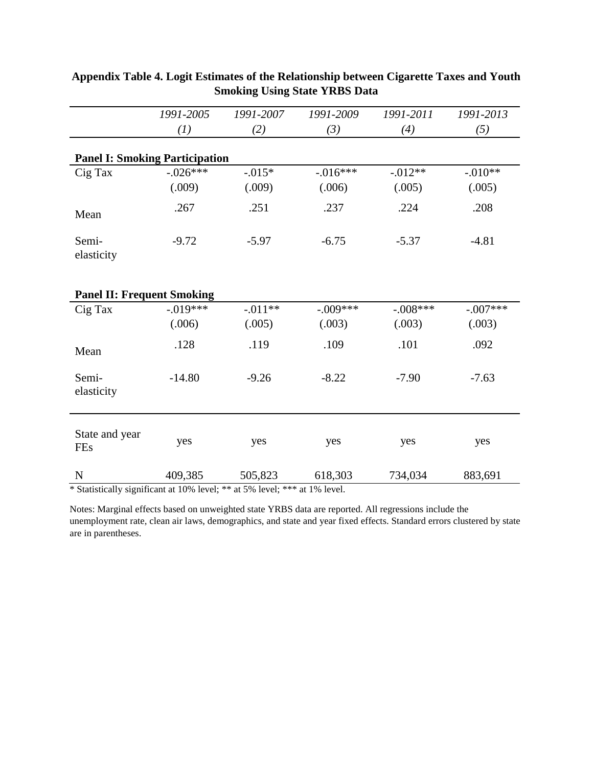|                                       | 1991-2005            | 1991-2007          | 1991-2009             | 1991-2011            | 1991-2013           |
|---------------------------------------|----------------------|--------------------|-----------------------|----------------------|---------------------|
|                                       | (I)                  | (2)                | (3)                   | (4)                  | (5)                 |
| <b>Panel I: Smoking Participation</b> |                      |                    |                       |                      |                     |
| Cig Tax                               | $-.026***$<br>(.009) | $-.015*$<br>(.009) | $-0.016***$<br>(.006) | $-0.012**$<br>(.005) | $-.010**$<br>(.005) |
| Mean                                  | .267                 | .251               | .237                  | .224                 | .208                |
| Semi-<br>elasticity                   | $-9.72$              | $-5.97$            | $-6.75$               | $-5.37$              | $-4.81$             |
| <b>Panel II: Frequent Smoking</b>     |                      |                    |                       |                      |                     |
| Cig Tax                               | $-.019***$           | $-.011**$          | $-.009***$            | $-.008***$           | $-.007***$          |
|                                       | (.006)               | (.005)             | (.003)                | (.003)               | (.003)              |
| Mean                                  | .128                 | .119               | .109                  | .101                 | .092                |
| Semi-<br>elasticity                   | $-14.80$             | $-9.26$            | $-8.22$               | $-7.90$              | $-7.63$             |
| State and year<br><b>FEs</b>          | yes                  | yes                | yes                   | yes                  | yes                 |
| $\mathbf N$                           | 409,385              | 505,823            | 618,303               | 734,034              | 883,691             |

# **Appendix Table 4. Logit Estimates of the Relationship between Cigarette Taxes and Youth Smoking Using State YRBS Data**

\* Statistically significant at 10% level; \*\* at 5% level; \*\*\* at 1% level.

Notes: Marginal effects based on unweighted state YRBS data are reported. All regressions include the unemployment rate, clean air laws, demographics, and state and year fixed effects. Standard errors clustered by state are in parentheses.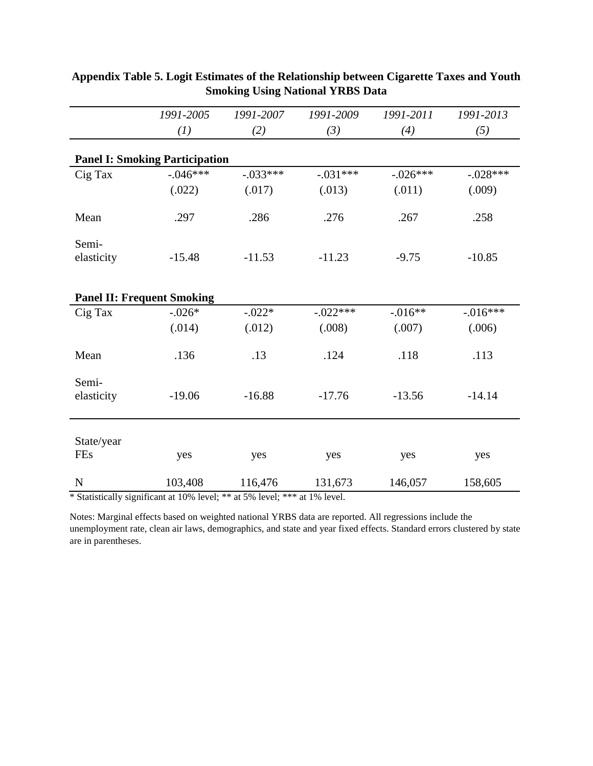|                     | 1991-2005                             | 1991-2007  | 1991-2009  | 1991-2011  | 1991-2013   |
|---------------------|---------------------------------------|------------|------------|------------|-------------|
|                     | (I)                                   | (2)        | (3)        | (4)        | (5)         |
|                     | <b>Panel I: Smoking Participation</b> |            |            |            |             |
| Cig Tax             | $-.046***$                            | $-.033***$ | $-.031***$ | $-.026***$ | $-.028***$  |
|                     | (.022)                                | (.017)     | (.013)     | (.011)     | (.009)      |
| Mean                | .297                                  | .286       | .276       | .267       | .258        |
| Semi-<br>elasticity | $-15.48$                              | $-11.53$   | $-11.23$   | $-9.75$    | $-10.85$    |
|                     | <b>Panel II: Frequent Smoking</b>     |            |            |            |             |
| Cig Tax             | $-.026*$                              | $-.022*$   | $-.022***$ | $-.016**$  | $-0.016***$ |
|                     | (.014)                                | (.012)     | (.008)     | (.007)     | (.006)      |
| Mean                | .136                                  | .13        | .124       | .118       | .113        |
| Semi-<br>elasticity | $-19.06$                              | $-16.88$   | $-17.76$   | $-13.56$   | $-14.14$    |
| State/year<br>FEs   | yes                                   | yes        | yes        | yes        | yes         |
|                     |                                       |            |            |            |             |
| ${\bf N}$           | 103,408                               | 116,476    | 131,673    | 146,057    | 158,605     |

# **Appendix Table 5. Logit Estimates of the Relationship between Cigarette Taxes and Youth Smoking Using National YRBS Data**

\* Statistically significant at 10% level; \*\* at 5% level; \*\*\* at 1% level.

Notes: Marginal effects based on weighted national YRBS data are reported. All regressions include the unemployment rate, clean air laws, demographics, and state and year fixed effects. Standard errors clustered by state are in parentheses.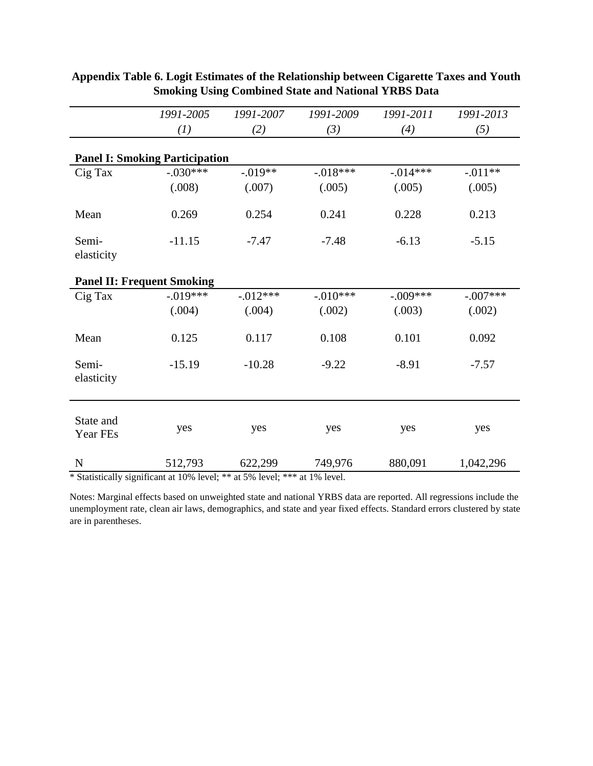|                                       | 1991-2005  | 1991-2007   | 1991-2009  | 1991-2011  | 1991-2013  |
|---------------------------------------|------------|-------------|------------|------------|------------|
|                                       | (I)        | (2)         | (3)        | (4)        | (5)        |
| <b>Panel I: Smoking Participation</b> |            |             |            |            |            |
| Cig Tax                               | $-.030***$ | $-.019**$   | $-018***$  | $-.014***$ | $-.011**$  |
|                                       | (.008)     | (.007)      | (.005)     | (.005)     | (.005)     |
| Mean                                  | 0.269      | 0.254       | 0.241      | 0.228      | 0.213      |
| Semi-<br>elasticity                   | $-11.15$   | $-7.47$     | $-7.48$    | $-6.13$    | $-5.15$    |
| <b>Panel II: Frequent Smoking</b>     |            |             |            |            |            |
| Cig Tax                               | $-.019***$ | $-0.012***$ | $-.010***$ | $-.009***$ | $-.007***$ |
|                                       | (.004)     | (.004)      | (.002)     | (.003)     | (.002)     |
| Mean                                  | 0.125      | 0.117       | 0.108      | 0.101      | 0.092      |
| Semi-<br>elasticity                   | $-15.19$   | $-10.28$    | $-9.22$    | $-8.91$    | $-7.57$    |
| State and<br>Year FEs                 | yes        | yes         | yes        | yes        | yes        |
| ${\bf N}$                             | 512,793    | 622,299     | 749,976    | 880,091    | 1,042,296  |

# **Appendix Table 6. Logit Estimates of the Relationship between Cigarette Taxes and Youth Smoking Using Combined State and National YRBS Data**

\* Statistically significant at 10% level; \*\* at 5% level; \*\*\* at 1% level.

Notes: Marginal effects based on unweighted state and national YRBS data are reported. All regressions include the unemployment rate, clean air laws, demographics, and state and year fixed effects. Standard errors clustered by state are in parentheses.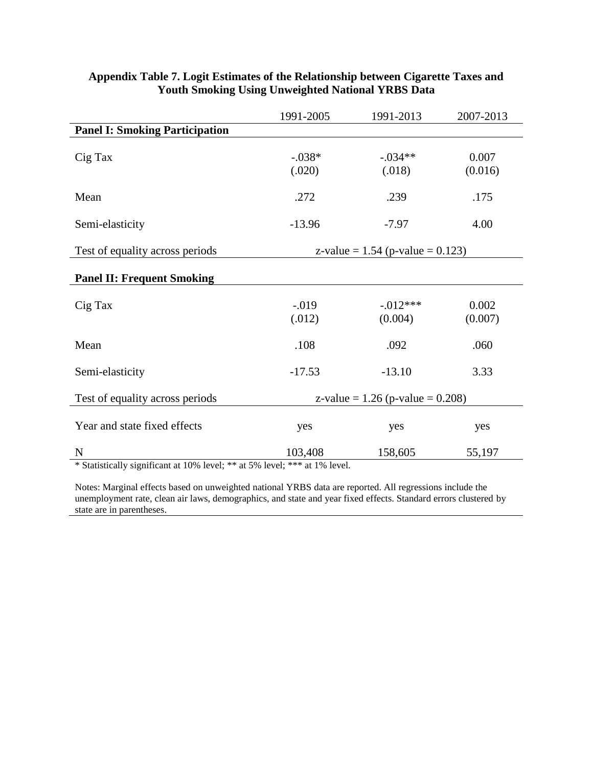|                                       | 1991-2005                          | 1991-2013              | 2007-2013        |  |
|---------------------------------------|------------------------------------|------------------------|------------------|--|
| <b>Panel I: Smoking Participation</b> |                                    |                        |                  |  |
| Cig Tax                               | $-.038*$<br>(.020)                 | $-.034**$<br>(.018)    | 0.007<br>(0.016) |  |
| Mean                                  | .272                               | .239                   | .175             |  |
| Semi-elasticity                       | $-13.96$                           | $-7.97$                | 4.00             |  |
| Test of equality across periods       | z-value = $1.54$ (p-value = 0.123) |                        |                  |  |
| <b>Panel II: Frequent Smoking</b>     |                                    |                        |                  |  |
| Cig Tax                               | $-.019$<br>(.012)                  | $-0.012***$<br>(0.004) | 0.002<br>(0.007) |  |
| Mean                                  | .108                               | .092                   | .060             |  |
| Semi-elasticity                       | $-17.53$                           | $-13.10$               | 3.33             |  |
| Test of equality across periods       | z-value = $1.26$ (p-value = 0.208) |                        |                  |  |
| Year and state fixed effects          | yes                                | yes                    | yes              |  |
| $\mathbf N$                           | 103,408                            | 158,605                | 55,197           |  |

# **Appendix Table 7. Logit Estimates of the Relationship between Cigarette Taxes and Youth Smoking Using Unweighted National YRBS Data**

\* Statistically significant at 10% level; \*\* at 5% level; \*\*\* at 1% level.

Notes: Marginal effects based on unweighted national YRBS data are reported. All regressions include the unemployment rate, clean air laws, demographics, and state and year fixed effects. Standard errors clustered by state are in parentheses.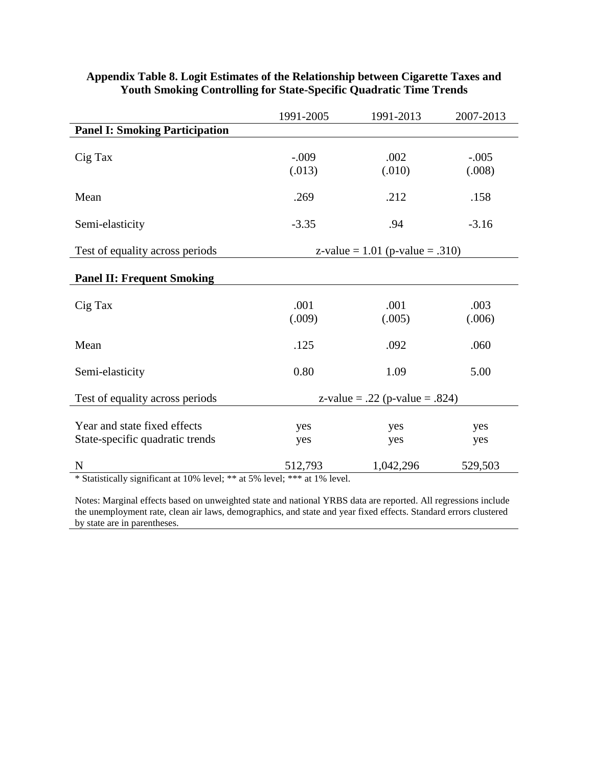|                                                                 | 1991-2005                         | 1991-2013      | 2007-2013         |
|-----------------------------------------------------------------|-----------------------------------|----------------|-------------------|
| <b>Panel I: Smoking Participation</b>                           |                                   |                |                   |
| Cig Tax                                                         | $-.009$<br>(.013)                 | .002<br>(.010) | $-.005$<br>(.008) |
| Mean                                                            | .269                              | .212           | .158              |
| Semi-elasticity                                                 | $-3.35$                           | .94            | $-3.16$           |
| Test of equality across periods                                 | z-value = $1.01$ (p-value = .310) |                |                   |
| <b>Panel II: Frequent Smoking</b>                               |                                   |                |                   |
| Cig Tax                                                         | .001<br>(.009)                    | .001<br>(.005) | .003<br>(.006)    |
| Mean                                                            | .125                              | .092           | .060              |
| Semi-elasticity                                                 | 0.80                              | 1.09           | 5.00              |
| Test of equality across periods                                 | z-value = .22 (p-value = .824)    |                |                   |
| Year and state fixed effects<br>State-specific quadratic trends | yes<br>yes                        | yes<br>yes     | yes<br>yes        |
| $\mathbf N$                                                     | 512,793                           | 1,042,296      | 529,503           |

# **Appendix Table 8. Logit Estimates of the Relationship between Cigarette Taxes and Youth Smoking Controlling for State-Specific Quadratic Time Trends**

\* Statistically significant at 10% level; \*\* at 5% level; \*\*\* at 1% level.

Notes: Marginal effects based on unweighted state and national YRBS data are reported. All regressions include the unemployment rate, clean air laws, demographics, and state and year fixed effects. Standard errors clustered by state are in parentheses.